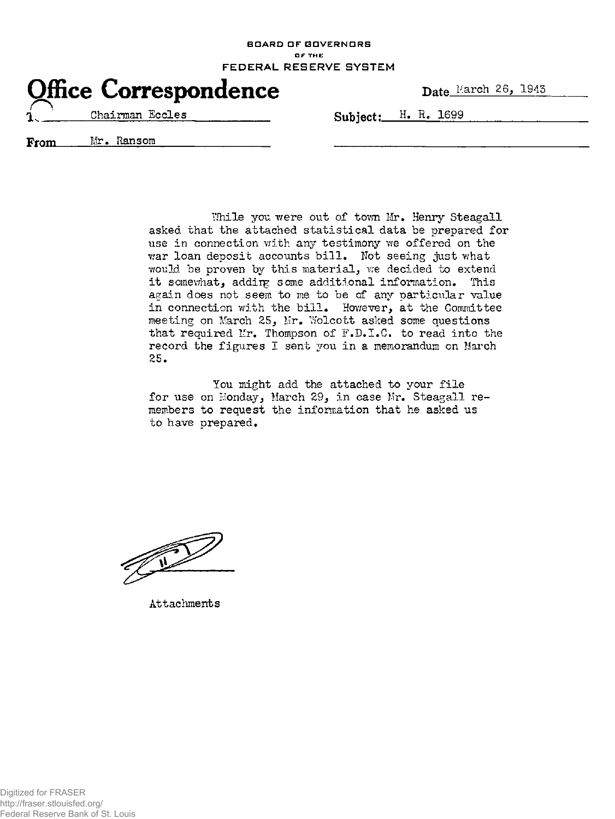BOARD OF GOVERNORS **OF THE** FEDERAL RESERVE SYSTEM



Chairman Eccles **Ruhiert: H. R. 1699** 

From Mr. Ransom

While you were out of town Mr. Henry Steagall asked that the attached statistical data be prepared for use in connection with any testimony we offered on the war loan deposit accounts bill. Not seeing just what would be proven by this material, we decided to extend it somewhat, addirg some additional information. This again does not seem to me to be of any particular value in connection with the bill. However, at the Committee meeting on March 25, Mr. Wolcott asked some questions that required Mr. Thompson of F.D.I.C. to read into the record the figures I sent you in a memorandum on March 25.

You might add the attached to your file for use on Monday, March 29, in case Mr. Steagall remembers to request the information that he asked us to have prepared.

Attachments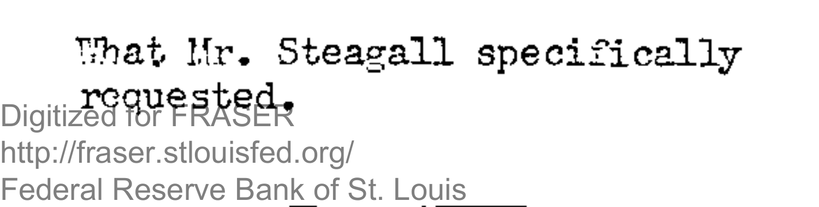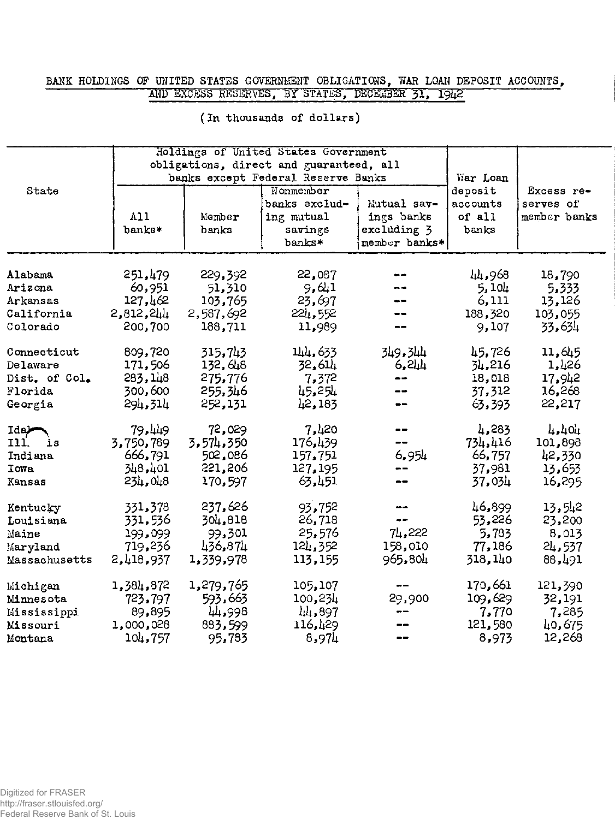# BANK HOLDINGS OF UNITED STATES GOVERNMENT OBLIGATIONS, WAR LOAN DEPOSIT ACCOUNTS, AND EXCESS RESERVES, BY STATES, DECEMBER 31, 1942

|               |           |                                         | Holdings of United States Government |               |          |              |
|---------------|-----------|-----------------------------------------|--------------------------------------|---------------|----------|--------------|
|               |           | obligations, direct and guaranteed, all |                                      |               |          |              |
|               |           | banks except Federal Reserve Banks      | War Loan                             |               |          |              |
| State         |           |                                         | Nonmember                            |               | deposit  | Excess re-   |
|               |           |                                         | banks exclud-                        | Mutual sav-   | accounts | serves of    |
|               | A11       | Member                                  | ing mutual                           | ings banks    | of all   | member banks |
|               | banks*    | banka                                   | savings                              | excluding 3   | banks    |              |
|               |           |                                         | banks*                               | member banks* |          |              |
|               |           |                                         |                                      |               |          |              |
| Alabama       | 251,479   | 229,392                                 | 22,087                               |               | 44,968   | 18,790       |
| Arizona       | 60,951    | 51,310                                  | 9,641                                |               | 5,104    | 5,333        |
| Arkansas      | 127,462   | 103,765                                 | 23,697                               |               | 6,111    | 13,126       |
| California    | 2,812,244 | 2,587,692                               | 224,552                              |               | 188,320  | 103,055      |
| Colorado      | 200,700   | 188,711                                 | 11,989                               |               | 9,107    | 33,634       |
| Connecticut   | 809,720   | 315.743                                 | 144,633                              | 349.344       | 45,726   | 11,645       |
| Delaware      | 171,506   | 132, 648                                | 32,614                               | ९, थी         | 34,216   | 1,426        |
| Dist. of Col. | 283,148   | 275,776                                 | 7,372                                | --            | 18,018   | 17,942       |
| Florida       | 300,600   | 255.346                                 | 45,254                               |               | 37,312   | 16,268       |
| Georgia       | 294,314   | 252,131                                 | 42,183                               |               | 63,393   | 22,217       |
| Ida           | 79.449    | 72,029                                  | 7,420                                |               | 4,283    | 4,404        |
| I11.<br>is    | 3,750,789 | 3,574,350                               | 176,439                              | --            | 734,416  | 101,898      |
| Indiana       | 666,791   | 502,086                                 | 157,751                              | 6,954         | 66,757   | 42,330       |
| <b>Towa</b>   | 348,401   | 221,206                                 | 127,195                              |               | 37,981   | 13,653       |
| Kansas        | 234,048   | 170,597                                 | 63,451                               | --            | 37,034   | 16,295       |
| Kentucky      | 331,378   | 237,626                                 | 93,752                               | --            | 46,899   | 13,542       |
| Louisiana     | 331,536   | 304,818                                 | 26,718                               | --            | 53,226   | 23,200       |
| Maine         | 199,099   | 99,301                                  | 25,576                               | 74,222        | 5,783    | 8,013        |
| Maryland      | 719,236   | 436,874                                 | 124,352                              | 158,010       | 77,186   | 24,537       |
| Massachusetts | 2,418,937 | 1,339,978                               | 113,155                              | 965,804       | 318,140  | 88,491       |
| Michigan      | 1,384,872 | 1,279,765                               | 105,107                              |               | 170,661  | 121,390      |
| Minnesota     | 723.797   | 593,663                                 | 100,234                              | 29,900        | 109,629  | 32,191       |
| Mississippi   | 89,895    | 44.998                                  | 44,897                               |               | 7,770    | 7,285        |
| Missouri      | 1,000,028 | 883,599                                 | 116,429                              |               | 121,580  | 40,675       |
| Montana       | 104,757   | 95,783                                  | 8,974                                |               | 8,973    | 12,268       |
|               |           |                                         |                                      |               |          |              |

#### (In thousands of dollars)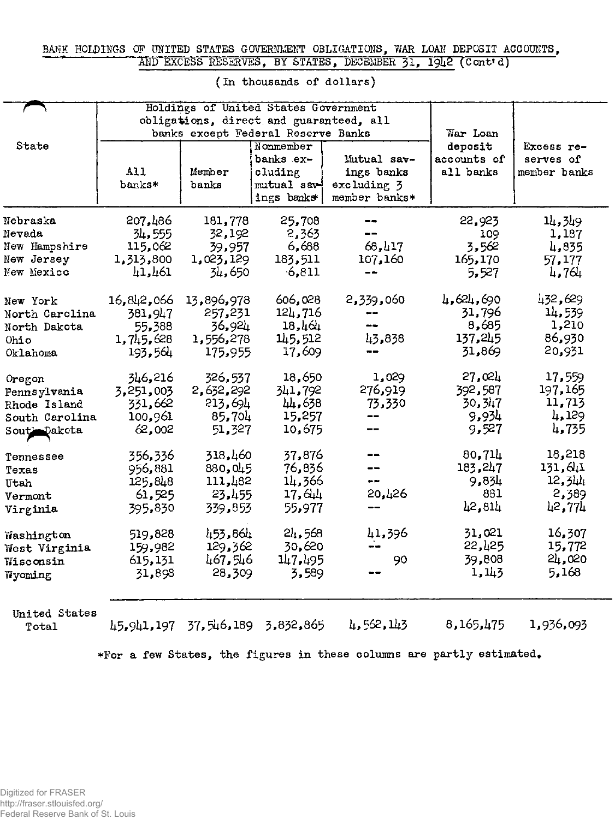## BANK HOLDINGS OF UNITED STATES GOVERNMENT OBLIGATIONS, WAR LOAN DEPOSIT ACCOUNTS, AND EXCESS RESERVES, BY STATES, DECEMBER 31, 1942 (Cont'd)

|                                                                         |                                                         | Holdings of United States Government<br>obligations, direct and guaranteed, all |                                                                |                                                           |                                                   |                                                  |  |
|-------------------------------------------------------------------------|---------------------------------------------------------|---------------------------------------------------------------------------------|----------------------------------------------------------------|-----------------------------------------------------------|---------------------------------------------------|--------------------------------------------------|--|
|                                                                         |                                                         | banks except Federal Reserve Banks                                              |                                                                |                                                           | War Loan                                          |                                                  |  |
| State                                                                   | All<br>banks*                                           | Member<br>banks                                                                 | Nonmember<br>banks ex-<br>cluding<br>mutual sav-<br>ings banks | Mutual sav-<br>ings banks<br>excluding 3<br>member banks* | deposit<br>accounts of<br>all banks               | Excess re-<br>serves of<br>member banks          |  |
| Nebraska<br>Nevada<br>New Hampshire<br>New Jersey<br>New Mexico         | 207,486<br>34,555<br>115,062<br>1,313,800<br>41,461     | 181,778<br>32,192<br>39,957<br>1,023,129<br>34,650                              | 25,708<br>2,363<br>6,688<br>183,511<br>6,811                   | --<br>68,417<br>107,160                                   | 22,923<br>109<br>3,562<br>165,170<br>5,527        | 14,349<br>1,187<br>4,835<br>57,177<br>4,764      |  |
| New York<br>North Carolina<br>North Dakota<br>Ohio<br>Oklahoma          | 16,842,066<br>381,947<br>55,388<br>1,745,628<br>193,561 | 13,896,978<br>257,231<br>36,924<br>1,556,278<br>175,955                         | 606,028<br>121,716<br>18,464<br>145,512<br>17,609              | 2,339,060<br>--<br>43,838                                 | 4,624,690<br>31,796<br>8,685<br>137,245<br>31,869 | 432,629<br>14,539<br>1,210<br>86,930<br>20,931   |  |
| Oregon<br>Pennsylvania<br>Rhode Island<br>South Carolina<br>Sout-Dakota | 346,216<br>3, 251, 003<br>331,662<br>100,961<br>62,002  | 326,537<br>2,632,292<br>213,694<br>85,704<br>51,327                             | 18,650<br>341,792<br>44,638<br>15,257<br>10,675                | 1,029<br>276,919<br>73,330<br>--                          | 27,024<br>392,587<br>30, 347<br>9,934<br>9,527    | 17,559<br>197,165<br>11,713<br>4,129<br>4,735    |  |
| Tennessee<br>Texas<br>Utah<br>Vermont<br>Virginia                       | 356,336<br>956,881<br>125,848<br>61,525<br>395,830      | 318,460<br>880,045<br>111,482<br>23,455<br>339,853                              | 37,876<br>76,836<br>14,366<br>17,644<br>55,977                 | --<br>--<br>20,426                                        | 80,714<br>183,247<br>9,834<br>881<br>42,814       | 18,218<br>131, 641<br>12, 344<br>2,389<br>42,774 |  |
| Washington<br>West Virginia<br>Wisconsin<br>Wyoming                     | 519,828<br>159,982<br>615,131<br>31,898                 | 453,864<br>129,362<br>467,546<br>28,309                                         | 24,568<br>30,620<br>147,495<br>3,589                           | 41,396<br>90                                              | 31,021<br>22,425<br>39,808<br>1,143               | 16,307<br>15,772<br>24,020<br>5,168              |  |
| United States<br>Total                                                  |                                                         | 45,941,197 37,546,189                                                           | 3,832,865                                                      | 4,562,143                                                 | 8,165,475                                         | 1,936,093                                        |  |

### **(In thousands of dollars )**

**•For a few States , the figures in these columns are partly estimated.**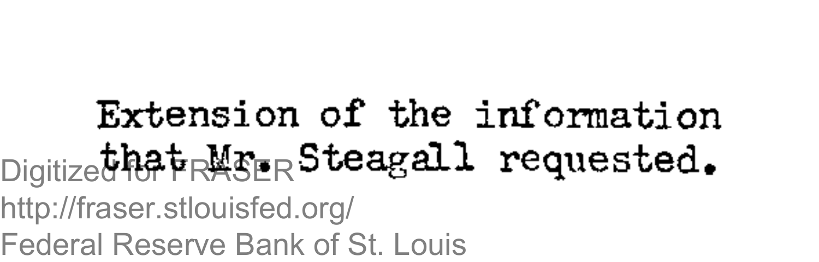Extension of the information  $_{\rm Digitize}$ that  $_{\rm RMSER}$ Steagall requested. http://fraser.stlouisfed.org/

Federal Reserve Bank of St. Louis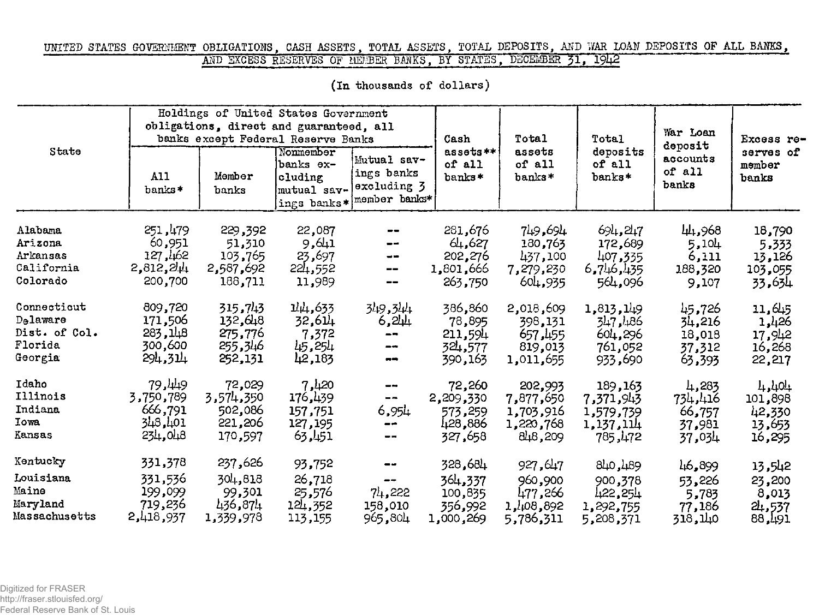## UNITED STATES GOVERNMENT OBLIGATIONS, CASH ASSETS, TOTAL ASSETS, TOTAL DEPOSITS, AND WAR LOAN DEPOSITS OF ALL BANKS, AND EXCESS RESERVES OF HEMBER BANKS, BY STATES, DECEMBER 31, 1942

| State                                                    |                                                         | Holdings of United States Government<br>obligations, direct and guaranteed, all<br>banks except Federal Reserve Banks | Cash                                             | Total                                                                 | Total                                                | War Loan<br>deposit                                   | Excess re-                                            |                                              |                                                |
|----------------------------------------------------------|---------------------------------------------------------|-----------------------------------------------------------------------------------------------------------------------|--------------------------------------------------|-----------------------------------------------------------------------|------------------------------------------------------|-------------------------------------------------------|-------------------------------------------------------|----------------------------------------------|------------------------------------------------|
|                                                          | A11<br>banks*                                           | Member<br>banks                                                                                                       | Nonmember<br>banks ex-<br>cluding<br>mutual sav- | Mutual sav-<br>ings banks<br>excluding 3<br>ings banks* member banks* | assets**<br>of all<br>banks*                         | assets<br>of all<br>banks*                            | deposits<br>of all<br>$banks*$                        | accounts<br>of all<br>banks                  | serves of<br>member<br>banks                   |
| Alabama<br>Arizona<br>Arkansas<br>California<br>Colorado | 251,479<br>60,951<br>127,162<br>$2,812,2\mu$<br>200,700 | 229,392<br>51,310<br>103,765<br>2,587,692<br>188,711                                                                  | 22,087<br>9,611<br>23,697<br>224,552<br>11,989   | $\rightarrow$<br>--<br>$\qquad \qquad \qquad -$                       | 281,676<br>64,627<br>202,276<br>1,801,666<br>263,750 | 749,694<br>180,763<br>437,100<br>7,279,230<br>604,935 | 691,247<br>172,689<br>407,335<br>6,746,435<br>564,096 | 44,968<br>5,104<br>6,111<br>188,320<br>9,107 | 18,790<br>5.333<br>13,126<br>103,055<br>33.634 |
| Connecticut                                              | 809,720                                                 | 315.743                                                                                                               | 14,633                                           | 349,344                                                               | 386,860                                              | 2,018,609                                             | 1,813,149                                             | 45,726                                       | 11,645                                         |
| Delaware                                                 | 171,506                                                 | 132,648                                                                                                               | 32,6과                                            | 6,244                                                                 | 78,895                                               | 398,131                                               | 347,486                                               | 34,216                                       | 1,426                                          |
| Dist. of Col.                                            | 283,148                                                 | 275,776                                                                                                               | 7,372                                            | $- -$                                                                 | 211,594                                              | 657,455                                               | 604,296                                               | 18,018                                       | 17,942                                         |
| Florida                                                  | 300,600                                                 | 255,346                                                                                                               | 45,254                                           | --                                                                    | 324,577                                              | 819,013                                               | 761,052                                               | 37.312                                       | 16,268                                         |
| Georgia                                                  | 294,314                                                 | 252,131                                                                                                               | 42,183                                           | $-$                                                                   | 390,163                                              | 1,011,655                                             | 933,690                                               | 63,393                                       | 22,217                                         |
| Idaho                                                    | 79.449                                                  | 72,029                                                                                                                | 7,420                                            | --                                                                    | 72,260                                               | 202,993                                               | 189,163                                               | 4,283                                        | 1, 101                                         |
| Illinois                                                 | 3,750,789                                               | 3,574,350                                                                                                             | 176,439                                          | $\frac{1}{2}$                                                         | 2,209,330                                            | 7,877,650                                             | 7,371,943                                             | 734,416                                      | 101,898                                        |
| Indiana                                                  | 666,791                                                 | 502,086                                                                                                               | 157,751                                          | 6,954                                                                 | 573,259                                              | 1,703,916                                             | 1,579,739                                             | 66,757                                       | 42,330                                         |
| <b>Iowa</b>                                              | 101, 148                                                | 221,206                                                                                                               | 127, 195                                         | --                                                                    | 428,886                                              | 1,220,768                                             | 1,137,114                                             | 37,981                                       | 13,653                                         |
| Kansas                                                   | 234,048                                                 | 170,597                                                                                                               | 63,451                                           | $-\,$ $-$                                                             | 327,658                                              | 848,209                                               | 785,472                                               | 37,034                                       | 16,295                                         |
| Kentucky                                                 | 331,378                                                 | 237,626                                                                                                               | 93,752                                           | $\qquad \qquad \blacksquare$                                          | 328,684                                              | 927,647                                               | 840,489                                               | 46,899                                       | 13,542                                         |
| Louisiana                                                | 331,536                                                 | 304,818                                                                                                               | 26,718                                           | $\qquad \qquad \blacksquare$                                          | 364,337                                              | 960,900                                               | 900,378                                               | 53,226                                       | 23,200                                         |
| Maine                                                    | 199,099                                                 | 99,301                                                                                                                | 25,576                                           | 74,222                                                                | 100,835                                              | 477,266                                               | 422,254                                               | 5,783                                        | 8,013                                          |
| Maryland                                                 | 719,236                                                 | 436,874                                                                                                               | 124,352                                          | 158,010                                                               | 356,992                                              | 1,108,892                                             | 1,292,755                                             | 77,186                                       | 24,537                                         |
| Massachusetts                                            | 2,418,937                                               | 1,339,978                                                                                                             | 113,155                                          | 965,804                                                               | 1,000,269                                            | 5,786,311                                             | 5,208,371                                             | 118,140                                      | 88,491                                         |

(In thousands of dollars)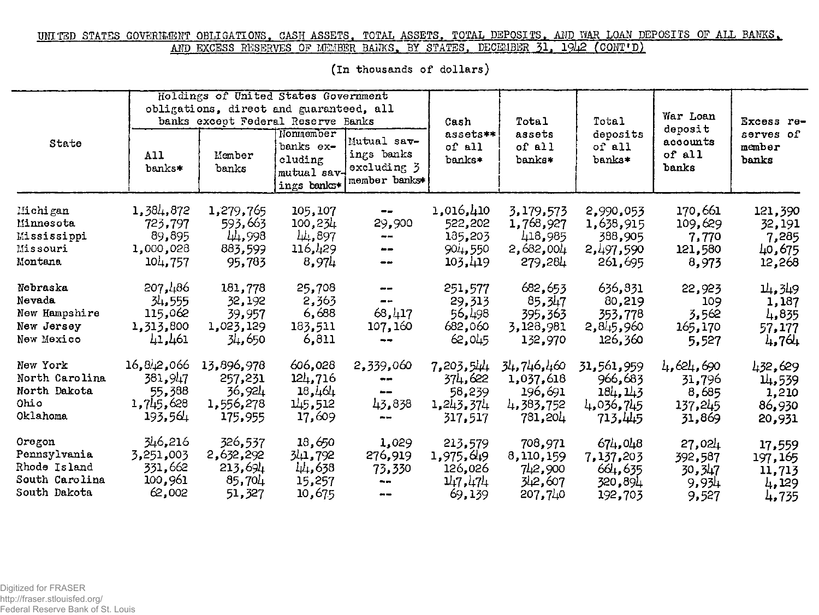### UNITED STATES GOVERNMENT OBLIGATIONS, CASH ASSETS, TOTAL ASSETS, TOTAL DEPOSITS, AND VAR LOAN DEPOSITS OF ALL BANKS, AND EXCESS RESERVES OF MEMBER BANKS, BY STATES, DECEMBER 31, 1942 (CONT'D)

| State          |               | Holdings of United States Government<br>obligations, direct and guaranteed, all<br>banks except Federal Reserve Banks |                                                                 |                                                           | Cash<br>assets**<br>of all<br>banks* | Total<br>assets<br>of all<br>banks* | Total<br>deposits<br>of all<br>banks* | War Loan<br>deposit<br>accounts<br>of all<br>banks | Excess re-<br>serves of<br>member<br>banks |
|----------------|---------------|-----------------------------------------------------------------------------------------------------------------------|-----------------------------------------------------------------|-----------------------------------------------------------|--------------------------------------|-------------------------------------|---------------------------------------|----------------------------------------------------|--------------------------------------------|
|                | A11<br>banks* | Member<br>banks                                                                                                       | Nonmember<br>banks ex-<br>cluding<br>mutual sav-<br>ings banks* | Mutual sav-<br>ings banks<br>excluding 3<br>member bankst |                                      |                                     |                                       |                                                    |                                            |
| Michigan       | 1,384,872     | 1,279,765                                                                                                             | 105,107                                                         | --                                                        | 1,016,410                            | 3,179,573                           | 2,990,053                             | 170,661                                            | 121,390                                    |
| Minnesota      | 723,797       | 593,663                                                                                                               | 100,234                                                         | 29,900                                                    | 522,202                              | 1,768,927                           | 1,638,915                             | 109,629                                            | 32,191                                     |
| Mississippi    | 89,895        | 44,998                                                                                                                | 44,897                                                          | --                                                        | 135,203                              | 418,985                             | 388,905                               | 7,770                                              | 7,285                                      |
| Missouri       | 1,000,028     | 883,599                                                                                                               | 116,429                                                         | $- -$                                                     | 904,550                              | 2,682,004                           | 2,497,590                             | 121,580                                            | 40,675                                     |
| Montana        | 104,757       | 95,783                                                                                                                | 8,974                                                           | $-\!$                                                     | 103, 419                             | 279,284                             | 261,695                               | 8,973                                              | 12,268                                     |
| Nebraska       | 207,486       | 181,778                                                                                                               | 25,708                                                          | $\rightarrow$                                             | 251,577                              | 682,653                             | 636,831                               | 22,923                                             | 14,349                                     |
| Nevada         | 34,555        | 32,192                                                                                                                | 2,363                                                           | --                                                        | 29,313                               | 85, 547                             | 80,219                                | 109                                                | 1,187                                      |
| New Hampshire  | 115,062       | 39,957                                                                                                                | 6,688                                                           | 68,417                                                    | 56,498                               | 395,363                             | 353,778                               | 3,562                                              | 4,835                                      |
| New Jersey     | 1,313,800     | 1,023,129                                                                                                             | 183,511                                                         | 107,160                                                   | 682,060                              | 3,128,981                           | 2,845,960                             | 165,170                                            | 57,177                                     |
| New Mexico     | 41,461        | 34,650                                                                                                                | 6,811                                                           | $\rightarrow$                                             | 62,045                               | 132,970                             | 126,360                               | 5,527                                              | 4,764                                      |
| New York       | 16, 8/2, 066  | 13,896,978                                                                                                            | 606,028                                                         | 2,339,060                                                 | 7,203,544                            | 34,746,460                          | 31,561,959                            | 4,624,690                                          | 432,629                                    |
| North Carolina | 381,947       | 257,231                                                                                                               | 124,716                                                         | $\sim$ $\sim$                                             | 374,622                              | 1,037,618                           | 966,683                               | 31,796                                             | 14,539                                     |
| North Dakota   | 55,388        | 36,924                                                                                                                | 13,464                                                          | $\qquad \qquad \blacksquare$                              | 58,239                               | 196,691                             | 184, 143                              | 8,685                                              | 1,210                                      |
| Ohio           | 1,745,628     | 1,556,278                                                                                                             | 145,512                                                         | 43,838                                                    | 1,243,374                            | 4,383,752                           | 4,036,745                             | 137,245                                            | 86,930                                     |
| Oklahoma       | 193,561       | 175,955                                                                                                               | 17,609                                                          | $\sim$ $\sim$                                             | 317.517                              | 781,204                             | 713,445                               | 31,869                                             | 20,931                                     |
| Oregon         | 346,216       | 326,537                                                                                                               | 13,650                                                          | 1,029                                                     | 213,579                              | 708,971                             | 674,048                               | 27,021                                             | 17,559                                     |
| Pennsylvania   | 3,251,003     | 2,632,292                                                                                                             | 341,792                                                         | 276,919                                                   | 1,975,649                            | 8,110,159                           | 7,137,203                             | 392,587                                            | 197, 165                                   |
| Rhode Island   | 331,662       | 213,691                                                                                                               | 44,638                                                          | 73,330                                                    | 126,026                              | 742,900                             | 664,635                               | 30,347                                             | 11,713                                     |
| South Carolina | 100,961       | 85,704                                                                                                                | 15,257                                                          | $\sim$ $\sim$                                             | 117, 171                             | 342,607                             | 320,894                               | 9,934                                              | 4,129                                      |
| South Dakota   | 62,002        | 51,327                                                                                                                | 10,675                                                          | $\frac{1}{2}$                                             | 69,139                               | 207,740                             | 192,703                               | 9,527                                              | 4,735                                      |

(In thousands of dollars)